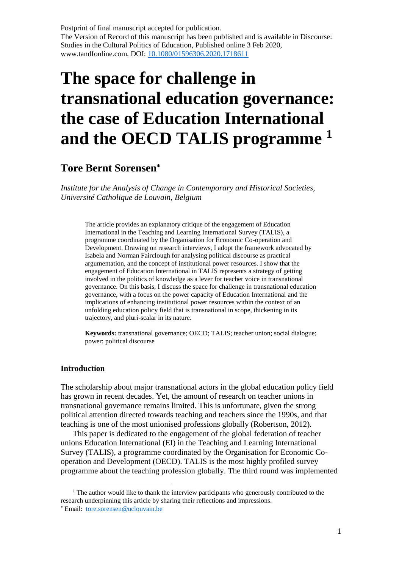# **The space for challenge in transnational education governance: the case of Education International and the OECD TALIS programme <sup>1</sup>**

# **Tore Bernt Sorensen**

*Institute for the Analysis of Change in Contemporary and Historical Societies, Université Catholique de Louvain, Belgium*

The article provides an explanatory critique of the engagement of Education International in the Teaching and Learning International Survey (TALIS), a programme coordinated by the Organisation for Economic Co-operation and Development. Drawing on research interviews, I adopt the framework advocated by Isabela and Norman Fairclough for analysing political discourse as practical argumentation, and the concept of institutional power resources. I show that the engagement of Education International in TALIS represents a strategy of getting involved in the politics of knowledge as a lever for teacher voice in transnational governance. On this basis, I discuss the space for challenge in transnational education governance, with a focus on the power capacity of Education International and the implications of enhancing institutional power resources within the context of an unfolding education policy field that is transnational in scope, thickening in its trajectory, and pluri-scalar in its nature.

**Keywords:** transnational governance; OECD; TALIS; teacher union; social dialogue; power; political discourse

# **Introduction**

 $\overline{a}$ 

The scholarship about major transnational actors in the global education policy field has grown in recent decades. Yet, the amount of research on teacher unions in transnational governance remains limited. This is unfortunate, given the strong political attention directed towards teaching and teachers since the 1990s, and that teaching is one of the most unionised professions globally (Robertson, 2012).

This paper is dedicated to the engagement of the global federation of teacher unions Education International (EI) in the Teaching and Learning International Survey (TALIS), a programme coordinated by the Organisation for Economic Cooperation and Development (OECD). TALIS is the most highly profiled survey programme about the teaching profession globally. The third round was implemented

<sup>&</sup>lt;sup>1</sup> The author would like to thank the interview participants who generously contributed to the research underpinning this article by sharing their reflections and impressions.

Email: [tore.sorensen@uclouvain.be](mailto:tore.sorensen@uclouvain.be)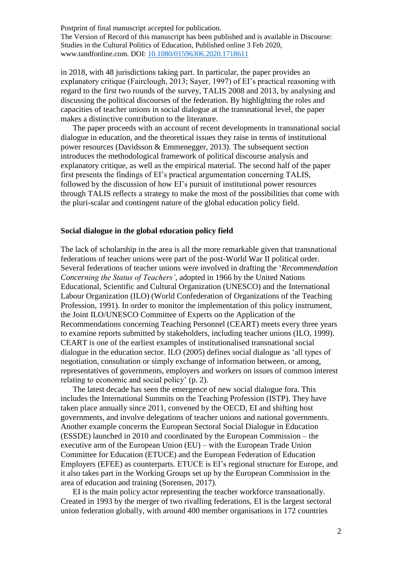in 2018, with 48 jurisdictions taking part. In particular, the paper provides an explanatory critique (Fairclough, 2013; Sayer, 1997) of EI's practical reasoning with regard to the first two rounds of the survey, TALIS 2008 and 2013, by analysing and discussing the political discourses of the federation. By highlighting the roles and capacities of teacher unions in social dialogue at the transnational level, the paper makes a distinctive contribution to the literature.

The paper proceeds with an account of recent developments in transnational social dialogue in education, and the theoretical issues they raise in terms of institutional power resources (Davidsson & Emmenegger, 2013). The subsequent section introduces the methodological framework of political discourse analysis and explanatory critique, as well as the empirical material. The second half of the paper first presents the findings of EI's practical argumentation concerning TALIS, followed by the discussion of how EI's pursuit of institutional power resources through TALIS reflects a strategy to make the most of the possibilities that come with the pluri-scalar and contingent nature of the global education policy field.

#### **Social dialogue in the global education policy field**

The lack of scholarship in the area is all the more remarkable given that transnational federations of teacher unions were part of the post-World War II political order. Several federations of teacher unions were involved in drafting the '*Recommendation Concerning the Status of Teachers',* adopted in 1966 by the United Nations Educational, Scientific and Cultural Organization (UNESCO) and the International Labour Organization (ILO) (World Confederation of Organizations of the Teaching Profession, 1991). In order to monitor the implementation of this policy instrument, the Joint ILO/UNESCO Committee of Experts on the Application of the Recommendations concerning Teaching Personnel (CEART) meets every three years to examine reports submitted by stakeholders, including teacher unions (ILO, 1999). CEART is one of the earliest examples of institutionalised transnational social dialogue in the education sector. ILO (2005) defines social dialogue as 'all types of negotiation, consultation or simply exchange of information between, or among, representatives of governments, employers and workers on issues of common interest relating to economic and social policy' (p. 2).

The latest decade has seen the emergence of new social dialogue fora. This includes the International Summits on the Teaching Profession (ISTP). They have taken place annually since 2011, convened by the OECD, EI and shifting host governments, and involve delegations of teacher unions and national governments. Another example concerns the European Sectoral Social Dialogue in Education (ESSDE) launched in 2010 and coordinated by the European Commission – the executive arm of the European Union (EU) – with the European Trade Union Committee for Education (ETUCE) and the European Federation of Education Employers (EFEE) as counterparts. ETUCE is EI's regional structure for Europe, and it also takes part in the Working Groups set up by the European Commission in the area of education and training (Sorensen, 2017).

EI is the main policy actor representing the teacher workforce transnationally. Created in 1993 by the merger of two rivalling federations, EI is the largest sectoral union federation globally, with around 400 member organisations in 172 countries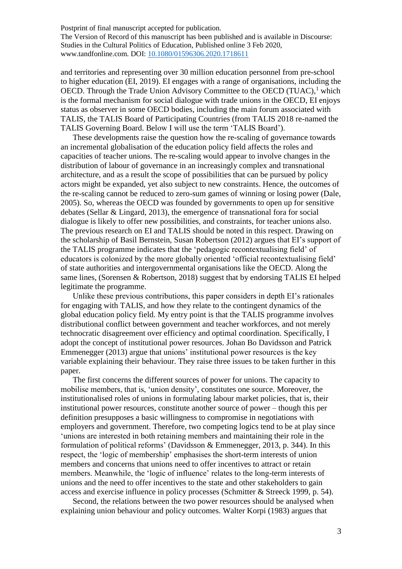and territories and representing over 30 million education personnel from pre-school to higher education (EI, 2019). EI engages with a range of organisations, including the OECD. Through the Trade Union Advisory Committee to the OECD (TUAC),<sup>1</sup> which is the formal mechanism for social dialogue with trade unions in the OECD, EI enjoys status as observer in some OECD bodies, including the main forum associated with TALIS, the TALIS Board of Participating Countries (from TALIS 2018 re-named the TALIS Governing Board. Below I will use the term 'TALIS Board').

These developments raise the question how the re-scaling of governance towards an incremental globalisation of the education policy field affects the roles and capacities of teacher unions. The re-scaling would appear to involve changes in the distribution of labour of governance in an increasingly complex and transnational architecture, and as a result the scope of possibilities that can be pursued by policy actors might be expanded, yet also subject to new constraints. Hence, the outcomes of the re-scaling cannot be reduced to zero-sum games of winning or losing power (Dale, 2005). So, whereas the OECD was founded by governments to open up for sensitive debates (Sellar & Lingard, 2013), the emergence of transnational fora for social dialogue is likely to offer new possibilities, and constraints, for teacher unions also. The previous research on EI and TALIS should be noted in this respect. Drawing on the scholarship of Basil Bernstein, Susan Robertson (2012) argues that EI's support of the TALIS programme indicates that the 'pedagogic recontextualising field' of educators is colonized by the more globally oriented 'official recontextualising field' of state authorities and intergovernmental organisations like the OECD. Along the same lines, (Sorensen & Robertson, 2018) suggest that by endorsing TALIS EI helped legitimate the programme.

Unlike these previous contributions, this paper considers in depth EI's rationales for engaging with TALIS, and how they relate to the contingent dynamics of the global education policy field. My entry point is that the TALIS programme involves distributional conflict between government and teacher workforces, and not merely technocratic disagreement over efficiency and optimal coordination. Specifically, I adopt the concept of institutional power resources. Johan Bo Davidsson and Patrick Emmenegger (2013) argue that unions' institutional power resources is the key variable explaining their behaviour. They raise three issues to be taken further in this paper.

The first concerns the different sources of power for unions. The capacity to mobilise members, that is, 'union density', constitutes one source. Moreover, the institutionalised roles of unions in formulating labour market policies, that is, their institutional power resources, constitute another source of power – though this per definition presupposes a basic willingness to compromise in negotiations with employers and government. Therefore, two competing logics tend to be at play since 'unions are interested in both retaining members and maintaining their role in the formulation of political reforms' (Davidsson & Emmenegger, 2013, p. 344). In this respect, the 'logic of membership' emphasises the short-term interests of union members and concerns that unions need to offer incentives to attract or retain members. Meanwhile, the 'logic of influence' relates to the long-term interests of unions and the need to offer incentives to the state and other stakeholders to gain access and exercise influence in policy processes (Schmitter & Streeck 1999, p. 54).

Second, the relations between the two power resources should be analysed when explaining union behaviour and policy outcomes. Walter Korpi (1983) argues that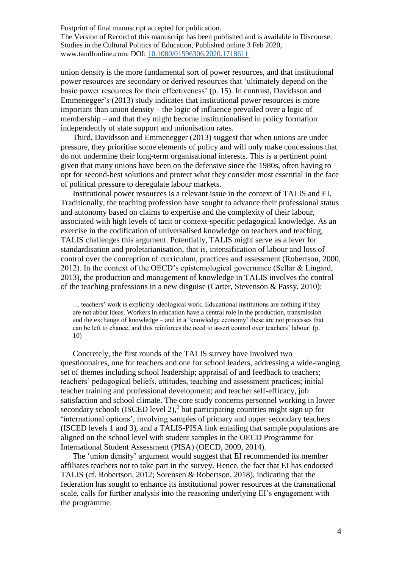union density is the more fundamental sort of power resources, and that institutional power resources are secondary or derived resources that 'ultimately depend on the basic power resources for their effectiveness' (p. 15). In contrast, Davidsson and Emmenegger's (2013) study indicates that institutional power resources is more important than union density – the logic of influence prevailed over a logic of membership – and that they might become institutionalised in policy formation independently of state support and unionisation rates.

Third, Davidsson and Emmenegger (2013) suggest that when unions are under pressure, they prioritise some elements of policy and will only make concessions that do not undermine their long-term organisational interests. This is a pertinent point given that many unions have been on the defensive since the 1980s, often having to opt for second-best solutions and protect what they consider most essential in the face of political pressure to deregulate labour markets.

Institutional power resources is a relevant issue in the context of TALIS and EI. Traditionally, the teaching profession have sought to advance their professional status and autonomy based on claims to expertise and the complexity of their labour, associated with high levels of tacit or context-specific pedagogical knowledge. As an exercise in the codification of universalised knowledge on teachers and teaching, TALIS challenges this argument. Potentially, TALIS might serve as a lever for standardisation and proletarianisation, that is, intensification of labour and loss of control over the conception of curriculum, practices and assessment (Robertson, 2000, 2012). In the context of the OECD's epistemological governance (Sellar & Lingard, 2013), the production and management of knowledge in TALIS involves the control of the teaching professions in a new disguise (Carter, Stevenson & Passy, 2010):

… teachers' work is explicitly ideological work. Educational institutions are nothing if they are not about ideas. Workers in education have a central role in the production, transmission and the exchange of knowledge – and in a 'knowledge economy' these are not processes that can be left to chance, and this reinforces the need to assert control over teachers' labour. (p. 10)

Concretely, the first rounds of the TALIS survey have involved two questionnaires, one for teachers and one for school leaders, addressing a wide-ranging set of themes including school leadership; appraisal of and feedback to teachers; teachers' pedagogical beliefs, attitudes, teaching and assessment practices; initial teacher training and professional development; and teacher self-efficacy, job satisfaction and school climate. The core study concerns personnel working in lower secondary schools (ISCED level 2),<sup>2</sup> but participating countries might sign up for 'international options', involving samples of primary and upper secondary teachers (ISCED levels 1 and 3), and a TALIS-PISA link entailing that sample populations are aligned on the school level with student samples in the OECD Programme for International Student Assessment (PISA) (OECD, 2009, 2014).

The 'union density' argument would suggest that EI recommended its member affiliates teachers not to take part in the survey. Hence, the fact that EI has endorsed TALIS (cf. Robertson, 2012; Sorensen & Robertson, 2018), indicating that the federation has sought to enhance its institutional power resources at the transnational scale, calls for further analysis into the reasoning underlying EI's engagement with the programme.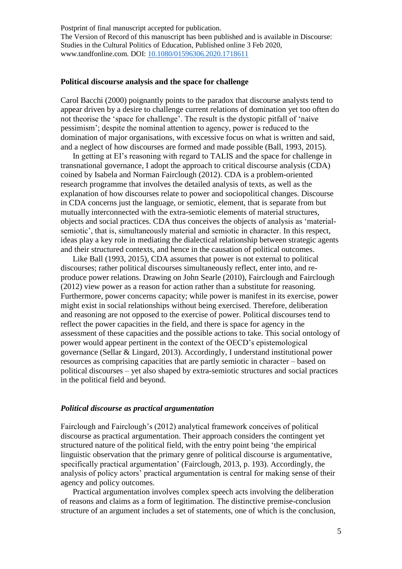#### **Political discourse analysis and the space for challenge**

Carol Bacchi (2000) poignantly points to the paradox that discourse analysts tend to appear driven by a desire to challenge current relations of domination yet too often do not theorise the 'space for challenge'. The result is the dystopic pitfall of 'naive pessimism'; despite the nominal attention to agency, power is reduced to the domination of major organisations, with excessive focus on what is written and said, and a neglect of how discourses are formed and made possible (Ball, 1993, 2015).

In getting at EI's reasoning with regard to TALIS and the space for challenge in transnational governance, I adopt the approach to critical discourse analysis (CDA) coined by Isabela and Norman Fairclough (2012). CDA is a problem-oriented research programme that involves the detailed analysis of texts, as well as the explanation of how discourses relate to power and sociopolitical changes. Discourse in CDA concerns just the language, or semiotic, element, that is separate from but mutually interconnected with the extra-semiotic elements of material structures, objects and social practices. CDA thus conceives the objects of analysis as 'materialsemiotic', that is, simultaneously material and semiotic in character. In this respect, ideas play a key role in mediating the dialectical relationship between strategic agents and their structured contexts, and hence in the causation of political outcomes.

Like Ball (1993, 2015), CDA assumes that power is not external to political discourses; rather political discourses simultaneously reflect, enter into, and reproduce power relations. Drawing on John Searle (2010), Fairclough and Fairclough (2012) view power as a reason for action rather than a substitute for reasoning. Furthermore, power concerns capacity; while power is manifest in its exercise, power might exist in social relationships without being exercised. Therefore, deliberation and reasoning are not opposed to the exercise of power. Political discourses tend to reflect the power capacities in the field, and there is space for agency in the assessment of these capacities and the possible actions to take. This social ontology of power would appear pertinent in the context of the OECD's epistemological governance (Sellar & Lingard, 2013). Accordingly, I understand institutional power resources as comprising capacities that are partly semiotic in character – based on political discourses – yet also shaped by extra-semiotic structures and social practices in the political field and beyond.

#### *Political discourse as practical argumentation*

Fairclough and Fairclough's (2012) analytical framework conceives of political discourse as practical argumentation. Their approach considers the contingent yet structured nature of the political field, with the entry point being 'the empirical linguistic observation that the primary genre of political discourse is argumentative, specifically practical argumentation' (Fairclough, 2013, p. 193). Accordingly, the analysis of policy actors' practical argumentation is central for making sense of their agency and policy outcomes.

Practical argumentation involves complex speech acts involving the deliberation of reasons and claims as a form of legitimation. The distinctive premise-conclusion structure of an argument includes a set of statements, one of which is the conclusion,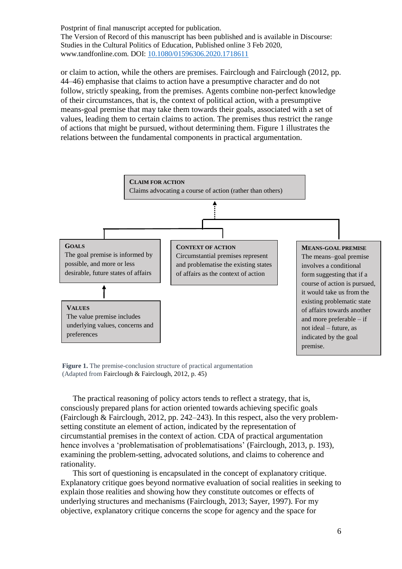or claim to action, while the others are premises. Fairclough and Fairclough (2012, pp. 44–46) emphasise that claims to action have a presumptive character and do not follow, strictly speaking, from the premises. Agents combine non-perfect knowledge of their circumstances, that is, the context of political action, with a presumptive means-goal premise that may take them towards their goals, associated with a set of values, leading them to certain claims to action. The premises thus restrict the range of actions that might be pursued, without determining them. Figure 1 illustrates the relations between the fundamental components in practical argumentation.



**Figure 1.** The premise-conclusion structure of practical argumentation (Adapted from Fairclough & Fairclough, 2012, p. 45)

The practical reasoning of policy actors tends to reflect a strategy, that is, consciously prepared plans for action oriented towards achieving specific goals (Fairclough & Fairclough, 2012, pp. 242–243). In this respect, also the very problemsetting constitute an element of action, indicated by the representation of circumstantial premises in the context of action. CDA of practical argumentation hence involves a 'problematisation of problematisations' (Fairclough, 2013, p. 193), examining the problem-setting, advocated solutions, and claims to coherence and rationality.

This sort of questioning is encapsulated in the concept of explanatory critique. Explanatory critique goes beyond normative evaluation of social realities in seeking to explain those realities and showing how they constitute outcomes or effects of underlying structures and mechanisms (Fairclough, 2013; Sayer, 1997). For my objective, explanatory critique concerns the scope for agency and the space for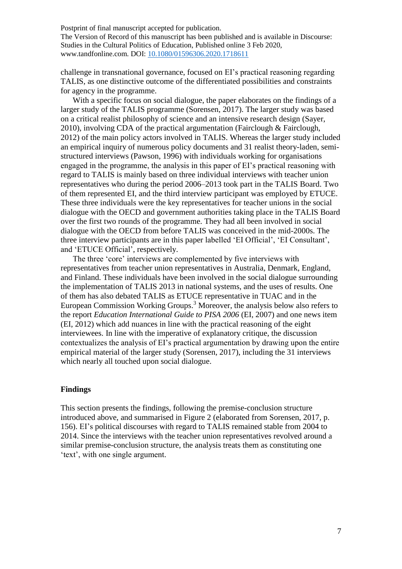challenge in transnational governance, focused on EI's practical reasoning regarding TALIS, as one distinctive outcome of the differentiated possibilities and constraints for agency in the programme.

With a specific focus on social dialogue, the paper elaborates on the findings of a larger study of the TALIS programme (Sorensen, 2017). The larger study was based on a critical realist philosophy of science and an intensive research design (Sayer, 2010), involving CDA of the practical argumentation (Fairclough & Fairclough, 2012) of the main policy actors involved in TALIS. Whereas the larger study included an empirical inquiry of numerous policy documents and 31 realist theory-laden, semistructured interviews (Pawson, 1996) with individuals working for organisations engaged in the programme, the analysis in this paper of EI's practical reasoning with regard to TALIS is mainly based on three individual interviews with teacher union representatives who during the period 2006–2013 took part in the TALIS Board. Two of them represented EI, and the third interview participant was employed by ETUCE. These three individuals were the key representatives for teacher unions in the social dialogue with the OECD and government authorities taking place in the TALIS Board over the first two rounds of the programme. They had all been involved in social dialogue with the OECD from before TALIS was conceived in the mid-2000s. The three interview participants are in this paper labelled 'EI Official', 'EI Consultant', and 'ETUCE Official', respectively.

The three 'core' interviews are complemented by five interviews with representatives from teacher union representatives in Australia, Denmark, England, and Finland. These individuals have been involved in the social dialogue surrounding the implementation of TALIS 2013 in national systems, and the uses of results. One of them has also debated TALIS as ETUCE representative in TUAC and in the European Commission Working Groups. <sup>3</sup> Moreover, the analysis below also refers to the report *Education International Guide to PISA 2006* (EI, 2007) and one news item (EI, 2012) which add nuances in line with the practical reasoning of the eight interviewees. In line with the imperative of explanatory critique, the discussion contextualizes the analysis of EI's practical argumentation by drawing upon the entire empirical material of the larger study (Sorensen, 2017), including the 31 interviews which nearly all touched upon social dialogue.

# **Findings**

This section presents the findings, following the premise-conclusion structure introduced above, and summarised in Figure 2 (elaborated from Sorensen, 2017, p. 156). EI's political discourses with regard to TALIS remained stable from 2004 to 2014. Since the interviews with the teacher union representatives revolved around a similar premise-conclusion structure, the analysis treats them as constituting one 'text', with one single argument.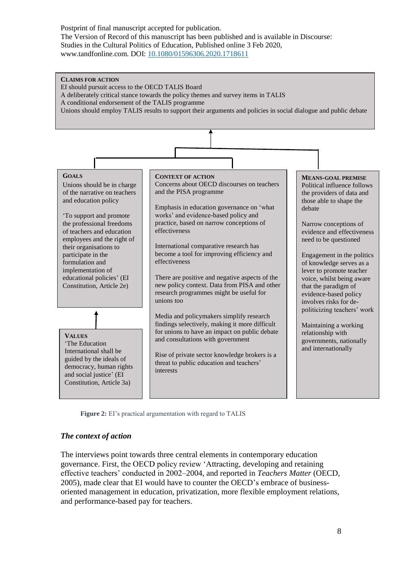

**Figure 2:** EI's practical argumentation with regard to TALIS

# *The context of action*

The interviews point towards three central elements in contemporary education governance. First, the OECD policy review 'Attracting, developing and retaining effective teachers' conducted in 2002–2004, and reported in *Teachers Matter* (OECD, 2005), made clear that EI would have to counter the OECD's embrace of businessoriented management in education, privatization, more flexible employment relations, and performance-based pay for teachers.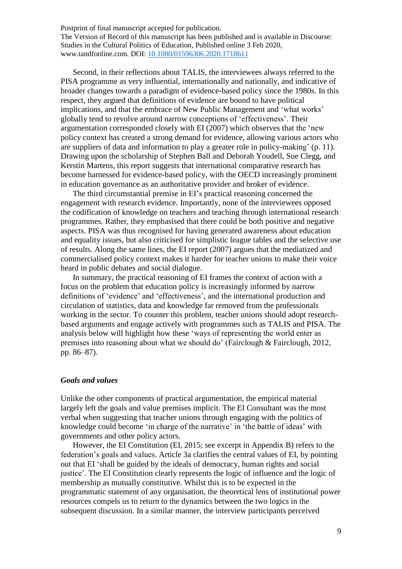Second, in their reflections about TALIS, the interviewees always referred to the PISA programme as very influential, internationally and nationally, and indicative of broader changes towards a paradigm of evidence-based policy since the 1980s. In this respect, they argued that definitions of evidence are bound to have political implications, and that the embrace of New Public Management and 'what works' globally tend to revolve around narrow conceptions of 'effectiveness'. Their argumentation corresponded closely with EI (2007) which observes that the 'new policy context has created a strong demand for evidence, allowing various actors who are suppliers of data and information to play a greater role in policy-making' (p. 11). Drawing upon the scholarship of Stephen Ball and Deborah Youdell, Sue Clegg, and Kerstin Martens, this report suggests that international comparative research has become harnessed for evidence-based policy, with the OECD increasingly prominent in education governance as an authoritative provider and broker of evidence.

The third circumstantial premise in EI's practical reasoning concerned the engagement with research evidence. Importantly, none of the interviewees opposed the codification of knowledge on teachers and teaching through international research programmes. Rather, they emphasised that there could be both positive and negative aspects. PISA was thus recognised for having generated awareness about education and equality issues, but also criticised for simplistic league tables and the selective use of results. Along the same lines, the EI report (2007) argues that the mediatized and commercialised policy context makes it harder for teacher unions to make their voice heard in public debates and social dialogue.

In summary, the practical reasoning of EI frames the context of action with a focus on the problem that education policy is increasingly informed by narrow definitions of 'evidence' and 'effectiveness', and the international production and circulation of statistics, data and knowledge far removed from the professionals working in the sector. To counter this problem, teacher unions should adopt researchbased arguments and engage actively with programmes such as TALIS and PISA. The analysis below will highlight how these 'ways of representing the world enter as premises into reasoning about what we should do' (Fairclough & Fairclough, 2012, pp. 86–87).

# *Goals and values*

Unlike the other components of practical argumentation, the empirical material largely left the goals and value premises implicit. The EI Consultant was the most verbal when suggesting that teacher unions through engaging with the politics of knowledge could become 'in charge of the narrative' in 'the battle of ideas' with governments and other policy actors.

However, the EI Constitution (EI, 2015; see excerpt in Appendix B) refers to the federation's goals and values. Article 3a clarifies the central values of EI, by pointing out that EI 'shall be guided by the ideals of democracy, human rights and social justice'. The EI Constitution clearly represents the logic of influence and the logic of membership as mutually constitutive. Whilst this is to be expected in the programmatic statement of any organisation, the theoretical lens of institutional power resources compels us to return to the dynamics between the two logics in the subsequent discussion. In a similar manner, the interview participants perceived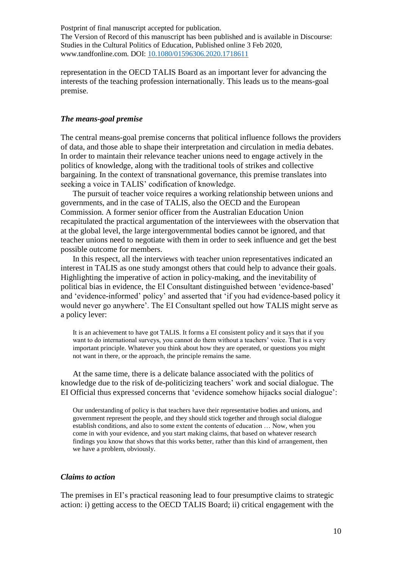representation in the OECD TALIS Board as an important lever for advancing the interests of the teaching profession internationally. This leads us to the means-goal premise.

# *The means-goal premise*

The central means-goal premise concerns that political influence follows the providers of data, and those able to shape their interpretation and circulation in media debates. In order to maintain their relevance teacher unions need to engage actively in the politics of knowledge, along with the traditional tools of strikes and collective bargaining. In the context of transnational governance, this premise translates into seeking a voice in TALIS' codification of knowledge.

The pursuit of teacher voice requires a working relationship between unions and governments, and in the case of TALIS, also the OECD and the European Commission. A former senior officer from the Australian Education Union recapitulated the practical argumentation of the interviewees with the observation that at the global level, the large intergovernmental bodies cannot be ignored, and that teacher unions need to negotiate with them in order to seek influence and get the best possible outcome for members.

In this respect, all the interviews with teacher union representatives indicated an interest in TALIS as one study amongst others that could help to advance their goals. Highlighting the imperative of action in policy-making, and the inevitability of political bias in evidence, the EI Consultant distinguished between 'evidence-based' and 'evidence-informed' policy' and asserted that 'if you had evidence-based policy it would never go anywhere'. The EI Consultant spelled out how TALIS might serve as a policy lever:

It is an achievement to have got TALIS. It forms a EI consistent policy and it says that if you want to do international surveys, you cannot do them without a teachers' voice. That is a very important principle. Whatever you think about how they are operated, or questions you might not want in there, or the approach, the principle remains the same.

At the same time, there is a delicate balance associated with the politics of knowledge due to the risk of de-politicizing teachers' work and social dialogue. The EI Official thus expressed concerns that 'evidence somehow hijacks social dialogue':

Our understanding of policy is that teachers have their representative bodies and unions, and government represent the people, and they should stick together and through social dialogue establish conditions, and also to some extent the contents of education … Now, when you come in with your evidence, and you start making claims, that based on whatever research findings you know that shows that this works better, rather than this kind of arrangement, then we have a problem, obviously.

## *Claims to action*

The premises in EI's practical reasoning lead to four presumptive claims to strategic action: i) getting access to the OECD TALIS Board; ii) critical engagement with the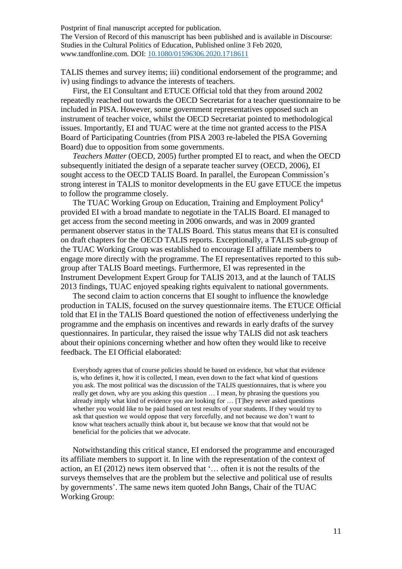TALIS themes and survey items; iii) conditional endorsement of the programme; and iv) using findings to advance the interests of teachers.

First, the EI Consultant and ETUCE Official told that they from around 2002 repeatedly reached out towards the OECD Secretariat for a teacher questionnaire to be included in PISA. However, some government representatives opposed such an instrument of teacher voice, whilst the OECD Secretariat pointed to methodological issues. Importantly, EI and TUAC were at the time not granted access to the PISA Board of Participating Countries (from PISA 2003 re-labeled the PISA Governing Board) due to opposition from some governments.

*Teachers Matter* (OECD, 2005) further prompted EI to react, and when the OECD subsequently initiated the design of a separate teacher survey (OECD, 2006), EI sought access to the OECD TALIS Board. In parallel, the European Commission's strong interest in TALIS to monitor developments in the EU gave ETUCE the impetus to follow the programme closely.

The TUAC Working Group on Education, Training and Employment Policy<sup>4</sup> provided EI with a broad mandate to negotiate in the TALIS Board. EI managed to get access from the second meeting in 2006 onwards, and was in 2009 granted permanent observer status in the TALIS Board. This status means that EI is consulted on draft chapters for the OECD TALIS reports. Exceptionally, a TALIS sub-group of the TUAC Working Group was established to encourage EI affiliate members to engage more directly with the programme. The EI representatives reported to this subgroup after TALIS Board meetings. Furthermore, EI was represented in the Instrument Development Expert Group for TALIS 2013, and at the launch of TALIS 2013 findings, TUAC enjoyed speaking rights equivalent to national governments.

The second claim to action concerns that EI sought to influence the knowledge production in TALIS, focused on the survey questionnaire items. The ETUCE Official told that EI in the TALIS Board questioned the notion of effectiveness underlying the programme and the emphasis on incentives and rewards in early drafts of the survey questionnaires. In particular, they raised the issue why TALIS did not ask teachers about their opinions concerning whether and how often they would like to receive feedback. The EI Official elaborated:

Everybody agrees that of course policies should be based on evidence, but what that evidence is, who defines it, how it is collected, I mean, even down to the fact what kind of questions you ask. The most political was the discussion of the TALIS questionnaires, that is where you really get down, why are you asking this question … I mean, by phrasing the questions you already imply what kind of evidence you are looking for … [T]hey never asked questions whether you would like to be paid based on test results of your students. If they would try to ask that question we would oppose that very forcefully, and not because we don't want to know what teachers actually think about it, but because we know that that would not be beneficial for the policies that we advocate.

Notwithstanding this critical stance, EI endorsed the programme and encouraged its affiliate members to support it. In line with the representation of the context of action, an EI (2012) news item observed that '… often it is not the results of the surveys themselves that are the problem but the selective and political use of results by governments'. The same news item quoted John Bangs, Chair of the TUAC Working Group: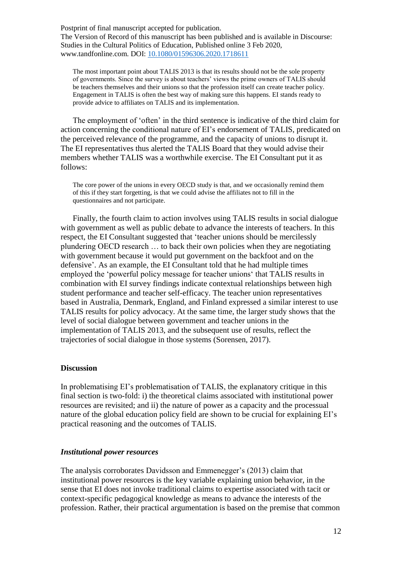The most important point about TALIS 2013 is that its results should not be the sole property of governments. Since the survey is about teachers' views the prime owners of TALIS should be teachers themselves and their unions so that the profession itself can create teacher policy. Engagement in TALIS is often the best way of making sure this happens. EI stands ready to provide advice to affiliates on TALIS and its implementation.

The employment of 'often' in the third sentence is indicative of the third claim for action concerning the conditional nature of EI's endorsement of TALIS, predicated on the perceived relevance of the programme, and the capacity of unions to disrupt it. The EI representatives thus alerted the TALIS Board that they would advise their members whether TALIS was a worthwhile exercise. The EI Consultant put it as follows:

The core power of the unions in every OECD study is that, and we occasionally remind them of this if they start forgetting, is that we could advise the affiliates not to fill in the questionnaires and not participate.

Finally, the fourth claim to action involves using TALIS results in social dialogue with government as well as public debate to advance the interests of teachers. In this respect, the EI Consultant suggested that 'teacher unions should be mercilessly plundering OECD research … to back their own policies when they are negotiating with government because it would put government on the backfoot and on the defensive'. As an example, the EI Consultant told that he had multiple times employed the 'powerful policy message for teacher unions' that TALIS results in combination with EI survey findings indicate contextual relationships between high student performance and teacher self-efficacy. The teacher union representatives based in Australia, Denmark, England, and Finland expressed a similar interest to use TALIS results for policy advocacy. At the same time, the larger study shows that the level of social dialogue between government and teacher unions in the implementation of TALIS 2013, and the subsequent use of results, reflect the trajectories of social dialogue in those systems (Sorensen, 2017).

# **Discussion**

In problematising EI's problematisation of TALIS, the explanatory critique in this final section is two-fold: i) the theoretical claims associated with institutional power resources are revisited; and ii) the nature of power as a capacity and the processual nature of the global education policy field are shown to be crucial for explaining EI's practical reasoning and the outcomes of TALIS.

#### *Institutional power resources*

The analysis corroborates Davidsson and Emmenegger's (2013) claim that institutional power resources is the key variable explaining union behavior, in the sense that EI does not invoke traditional claims to expertise associated with tacit or context-specific pedagogical knowledge as means to advance the interests of the profession. Rather, their practical argumentation is based on the premise that common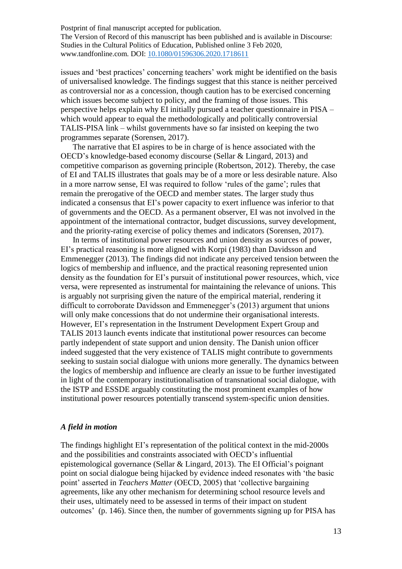issues and 'best practices' concerning teachers' work might be identified on the basis of universalised knowledge. The findings suggest that this stance is neither perceived as controversial nor as a concession, though caution has to be exercised concerning which issues become subject to policy, and the framing of those issues. This perspective helps explain why EI initially pursued a teacher questionnaire in PISA – which would appear to equal the methodologically and politically controversial TALIS-PISA link – whilst governments have so far insisted on keeping the two programmes separate (Sorensen, 2017).

The narrative that EI aspires to be in charge of is hence associated with the OECD's knowledge-based economy discourse (Sellar & Lingard, 2013) and competitive comparison as governing principle (Robertson, 2012). Thereby, the case of EI and TALIS illustrates that goals may be of a more or less desirable nature. Also in a more narrow sense, EI was required to follow 'rules of the game'; rules that remain the prerogative of the OECD and member states. The larger study thus indicated a consensus that EI's power capacity to exert influence was inferior to that of governments and the OECD. As a permanent observer, EI was not involved in the appointment of the international contractor, budget discussions, survey development, and the priority-rating exercise of policy themes and indicators (Sorensen, 2017).

In terms of institutional power resources and union density as sources of power, EI's practical reasoning is more aligned with Korpi (1983) than Davidsson and Emmenegger (2013). The findings did not indicate any perceived tension between the logics of membership and influence, and the practical reasoning represented union density as the foundation for EI's pursuit of institutional power resources, which, vice versa, were represented as instrumental for maintaining the relevance of unions. This is arguably not surprising given the nature of the empirical material, rendering it difficult to corroborate Davidsson and Emmenegger's (2013) argument that unions will only make concessions that do not undermine their organisational interests. However, EI's representation in the Instrument Development Expert Group and TALIS 2013 launch events indicate that institutional power resources can become partly independent of state support and union density. The Danish union officer indeed suggested that the very existence of TALIS might contribute to governments seeking to sustain social dialogue with unions more generally. The dynamics between the logics of membership and influence are clearly an issue to be further investigated in light of the contemporary institutionalisation of transnational social dialogue, with the ISTP and ESSDE arguably constituting the most prominent examples of how institutional power resources potentially transcend system-specific union densities.

# *A field in motion*

The findings highlight EI's representation of the political context in the mid-2000s and the possibilities and constraints associated with OECD's influential epistemological governance (Sellar & Lingard, 2013). The EI Official's poignant point on social dialogue being hijacked by evidence indeed resonates with 'the basic point' asserted in *Teachers Matter* (OECD, 2005) that 'collective bargaining agreements, like any other mechanism for determining school resource levels and their uses, ultimately need to be assessed in terms of their impact on student outcomes' (p. 146). Since then, the number of governments signing up for PISA has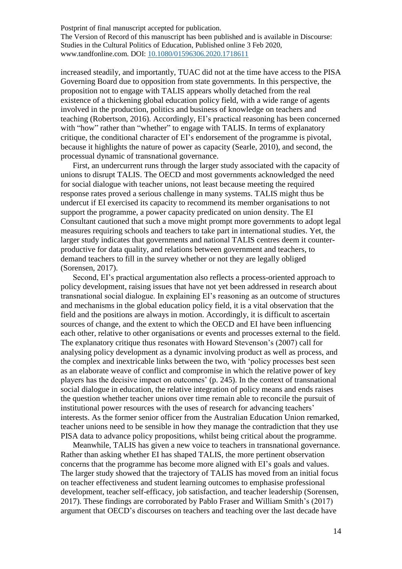increased steadily, and importantly, TUAC did not at the time have access to the PISA Governing Board due to opposition from state governments. In this perspective, the proposition not to engage with TALIS appears wholly detached from the real existence of a thickening global education policy field, with a wide range of agents involved in the production, politics and business of knowledge on teachers and teaching (Robertson, 2016). Accordingly, EI's practical reasoning has been concerned with "how" rather than "whether" to engage with TALIS. In terms of explanatory critique, the conditional character of EI's endorsement of the programme is pivotal, because it highlights the nature of power as capacity (Searle, 2010), and second, the processual dynamic of transnational governance.

First, an undercurrent runs through the larger study associated with the capacity of unions to disrupt TALIS. The OECD and most governments acknowledged the need for social dialogue with teacher unions, not least because meeting the required response rates proved a serious challenge in many systems. TALIS might thus be undercut if EI exercised its capacity to recommend its member organisations to not support the programme, a power capacity predicated on union density. The EI Consultant cautioned that such a move might prompt more governments to adopt legal measures requiring schools and teachers to take part in international studies. Yet, the larger study indicates that governments and national TALIS centres deem it counterproductive for data quality, and relations between government and teachers, to demand teachers to fill in the survey whether or not they are legally obliged (Sorensen, 2017).

Second, EI's practical argumentation also reflects a process-oriented approach to policy development, raising issues that have not yet been addressed in research about transnational social dialogue. In explaining EI's reasoning as an outcome of structures and mechanisms in the global education policy field, it is a vital observation that the field and the positions are always in motion. Accordingly, it is difficult to ascertain sources of change, and the extent to which the OECD and EI have been influencing each other, relative to other organisations or events and processes external to the field. The explanatory critique thus resonates with Howard Stevenson's (2007) call for analysing policy development as a dynamic involving product as well as process, and the complex and inextricable links between the two, with 'policy processes best seen as an elaborate weave of conflict and compromise in which the relative power of key players has the decisive impact on outcomes' (p. 245). In the context of transnational social dialogue in education, the relative integration of policy means and ends raises the question whether teacher unions over time remain able to reconcile the pursuit of institutional power resources with the uses of research for advancing teachers' interests. As the former senior officer from the Australian Education Union remarked, teacher unions need to be sensible in how they manage the contradiction that they use PISA data to advance policy propositions, whilst being critical about the programme.

Meanwhile, TALIS has given a new voice to teachers in transnational governance. Rather than asking whether EI has shaped TALIS, the more pertinent observation concerns that the programme has become more aligned with EI's goals and values. The larger study showed that the trajectory of TALIS has moved from an initial focus on teacher effectiveness and student learning outcomes to emphasise professional development, teacher self-efficacy, job satisfaction, and teacher leadership (Sorensen, 2017). These findings are corroborated by Pablo Fraser and William Smith's (2017) argument that OECD's discourses on teachers and teaching over the last decade have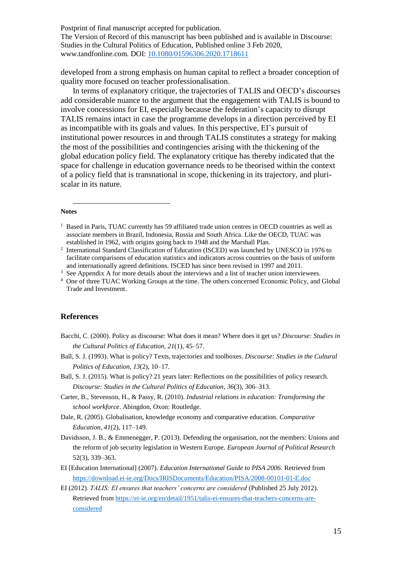developed from a strong emphasis on human capital to reflect a broader conception of quality more focused on teacher professionalisation.

In terms of explanatory critique, the trajectories of TALIS and OECD's discourses add considerable nuance to the argument that the engagement with TALIS is bound to involve concessions for EI, especially because the federation's capacity to disrupt TALIS remains intact in case the programme develops in a direction perceived by EI as incompatible with its goals and values. In this perspective, EI's pursuit of institutional power resources in and through TALIS constitutes a strategy for making the most of the possibilities and contingencies arising with the thickening of the global education policy field. The explanatory critique has thereby indicated that the space for challenge in education governance needs to be theorised within the context of a policy field that is transnational in scope, thickening in its trajectory, and pluriscalar in its nature.

#### **Notes**

 $\overline{a}$ 

#### **References**

- Bacchi, C. (2000). Policy as discourse: What does it mean? Where does it get us? *Discourse: Studies in the Cultural Politics of Education, 21*(1), 45–57.
- Ball, S. J. (1993). What is policy? Texts, trajectories and toolboxes. *Discourse: Studies in the Cultural Politics of Education, 13*(2), 10–17.
- Ball, S. J. (2015). What is policy? 21 years later: Reflections on the possibilities of policy research. *Discourse: Studies in the Cultural Politics of Education, 36*(3), 306–313.
- Carter, B., Stevenson, H., & Passy, R. (2010). *Industrial relations in education: Transforming the school workforce*. Abingdon, Oxon: Routledge.
- Dale, R. (2005). Globalisation, knowledge economy and comparative education. *Comparative Education, 41*(2), 117–149.
- Davidsson, J. B., & Emmenegger, P. (2013). Defending the organisation, not the members: Unions and the reform of job security legislation in Western Europe. *European Journal of Political Research* 52(3), 339–363.
- EI [Education International] (2007). *Education International Guide to PISA 2006.* Retrieved from <https://download.ei-ie.org/Docs/IRISDocuments/Education/PISA/2008-00101-01-E.doc>
- EI (2012). *TALIS: EI ensures that teachers' concerns are considered* (Published 25 July 2012). Retrieved from [https://ei-ie.org/en/detail/1951/talis-ei-ensures-that-teachers-concerns-are](https://ei-ie.org/en/detail/1951/talis-ei-ensures-that-teachers-concerns-are-considered)[considered](https://ei-ie.org/en/detail/1951/talis-ei-ensures-that-teachers-concerns-are-considered)

 $1$  Based in Paris, TUAC currently has 59 affiliated trade union centres in OECD countries as well as associate members in Brazil, Indonesia, Russia and South Africa. Like the OECD, TUAC was established in 1962, with origins going back to 1948 and the Marshall Plan.

<sup>&</sup>lt;sup>2</sup> International Standard Classification of Education (ISCED) was launched by UNESCO in 1976 to facilitate comparisons of education statistics and indicators across countries on the basis of uniform and internationally agreed definitions. ISCED has since been revised in 1997 and 2011.

<sup>&</sup>lt;sup>3</sup> See Appendix A for more details about the interviews and a list of teacher union interviewees.

<sup>&</sup>lt;sup>4</sup> One of three TUAC Working Groups at the time. The others concerned Economic Policy, and Global Trade and Investment.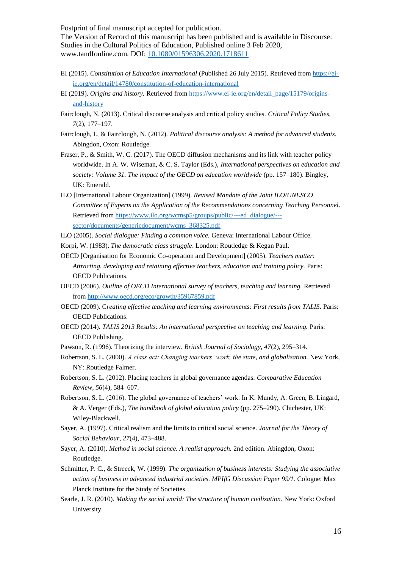- EI (2015). *Constitution of Education International* (Published 26 July 2015). Retrieved from [https://ei](https://ei-ie.org/en/detail/14780/constitution-of-education-international)[ie.org/en/detail/14780/constitution-of-education-international](https://ei-ie.org/en/detail/14780/constitution-of-education-international)
- EI (2019). *Origins and history.* Retrieved from [https://www.ei-ie.org/en/detail\\_page/15179/origins](https://www.ei-ie.org/en/detail_page/15179/origins-and-history)[and-history](https://www.ei-ie.org/en/detail_page/15179/origins-and-history)
- Fairclough, N. (2013). Critical discourse analysis and critical policy studies. *Critical Policy Studies, 7*(2), 177–197.
- Fairclough, I., & Fairclough, N. (2012). *Political discourse analysis: A method for advanced students.* Abingdon, Oxon: Routledge.
- Fraser, P., & Smith, W. C. (2017). The OECD diffusion mechanisms and its link with teacher policy worldwide. In A. W. Wiseman, & C. S. Taylor (Eds.), *International perspectives on education and society: Volume 31. The impact of the OECD on education worldwide* (pp. 157–180). Bingley, UK: Emerald.
- ILO [International Labour Organization] (1999). *Revised Mandate of the Joint ILO/UNESCO Committee of Experts on the Application of the Recommendations concerning Teaching Personnel*. Retrieved from [https://www.ilo.org/wcmsp5/groups/public/---ed\\_dialogue/--](https://www.ilo.org/wcmsp5/groups/public/---ed_dialogue/---sector/documents/genericdocument/wcms_368325.pdf) [sector/documents/genericdocument/wcms\\_368325.pdf](https://www.ilo.org/wcmsp5/groups/public/---ed_dialogue/---sector/documents/genericdocument/wcms_368325.pdf)
- ILO (2005). *Social dialogue: Finding a common voice.* Geneva: International Labour Office.
- Korpi, W. (1983). *The democratic class struggle*. London: Routledge & Kegan Paul.
- OECD [Organisation for Economic Co-operation and Development] (2005). *Teachers matter: Attracting, developing and retaining effective teachers, education and training policy.* Paris: OECD Publications.
- OECD (2006). *Outline of OECD International survey of teachers, teaching and learning.* Retrieved fro[m http://www.oecd.org/eco/growth/35967859.pdf](http://www.oecd.org/eco/growth/35967859.pdf)
- OECD (2009). C*reating effective teaching and learning environments: First results from TALIS*. Paris: OECD Publications.
- OECD (2014). *TALIS 2013 Results: An international perspective on teaching and learning. Paris:* OECD Publishing.
- Pawson, R. (1996). Theorizing the interview. *British Journal of Sociology, 47*(2), 295–314.
- Robertson, S. L. (2000). *A class act: Changing teachers' work, the state, and globalisation.* New York, NY: Routledge Falmer.
- Robertson, S. L. (2012). Placing teachers in global governance agendas. *Comparative Education Review, 56*(4), 584–607.
- Robertson, S. L. (2016). The global governance of teachers' work. In K. Mundy, A. Green, B. Lingard, & A. Verger (Eds.), *The handbook of global education policy* (pp. 275–290). Chichester, UK: Wiley-Blackwell.
- Sayer, A. (1997). Critical realism and the limits to critical social science. *Journal for the Theory of Social Behaviour, 27*(4), 473–488.
- Sayer, A. (2010). *Method in social science. A realist approach.* 2nd edition. Abingdon, Oxon: Routledge.
- Schmitter, P. C., & Streeck, W. (1999). *The organization of business interests: Studying the associative action of business in advanced industrial societies. MPIfG Discussion Paper 99/1*. Cologne: Max Planck Institute for the Study of Societies.
- Searle, J. R. (2010). *Making the social world: The structure of human civilization.* New York: Oxford University.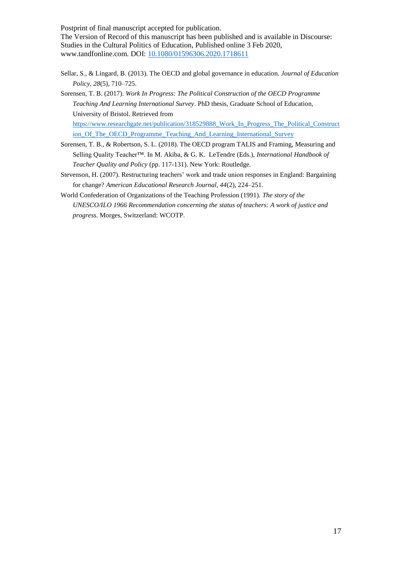Sellar, S., & Lingard, B. (2013). The OECD and global governance in education. *Journal of Education Policy, 28*(5), 710–725.

Sorensen, T. B. (2017). *Work In Progress: The Political Construction of the OECD Programme Teaching And Learning International Survey*. PhD thesis, Graduate School of Education, University of Bristol. Retrieved from [https://www.researchgate.net/publication/318529888\\_Work\\_In\\_Progress\\_The\\_Political\\_Construct](https://www.researchgate.net/publication/318529888_Work_In_Progress_The_Political_Construction_Of_The_OECD_Programme_Teaching_And_Learning_International_Survey) ion Of The OECD Programme Teaching And Learning International Survey

- Sorensen, T. B., & Robertson, S. L. (2018). The OECD program TALIS and Framing, Measuring and Selling Quality Teacher™. In M. Akiba, & G. K. LeTendre (Eds.), *International Handbook of Teacher Quality and Policy* (pp. 117-131). New York: Routledge.
- Stevenson, H. (2007). Restructuring teachers' work and trade union responses in England: Bargaining for change? *American Educational Research Journal, 44*(2), 224–251.
- World Confederation of Organizations of the Teaching Profession (1991). *The story of the UNESCO/ILO 1966 Recommendation concerning the status of teachers: A work of justice and progress.* Morges, Switzerland: WCOTP.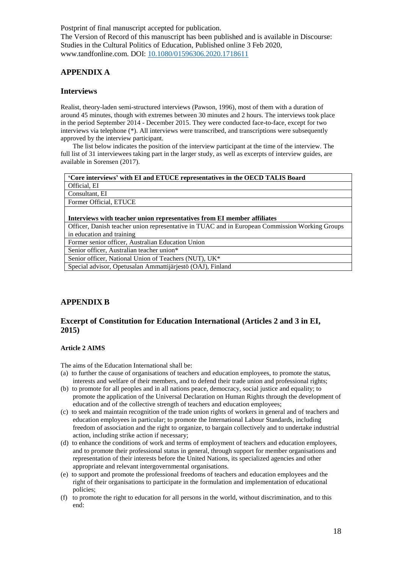# **APPENDIX A**

# **Interviews**

Realist, theory-laden semi-structured interviews (Pawson, 1996), most of them with a duration of around 45 minutes, though with extremes between 30 minutes and 2 hours. The interviews took place in the period September 2014 - December 2015. They were conducted face-to-face, except for two interviews via telephone (\*). All interviews were transcribed, and transcriptions were subsequently approved by the interview participant.

The list below indicates the position of the interview participant at the time of the interview. The full list of 31 interviewees taking part in the larger study, as well as excerpts of interview guides, are available in Sorensen (2017).

| Core interviews' with EI and ETUCE representatives in the OECD TALIS Board |
|----------------------------------------------------------------------------|
| Official. EI                                                               |
| Consultant, EI                                                             |

Former Official, ETUCE

#### **Interviews with teacher union representatives from EI member affiliates**

Officer, Danish teacher union representative in TUAC and in European Commission Working Groups in education and training

Former senior officer, Australian Education Union

Senior officer, Australian teacher union\*

Senior officer, National Union of Teachers (NUT), UK\*

Special advisor, Opetusalan Ammattijärjestö (OAJ), Finland

# **APPENDIX B**

# **Excerpt of Constitution for Education International (Articles 2 and 3 in EI, 2015)**

#### **Article 2 AIMS**

The aims of the Education International shall be:

- (a) to further the cause of organisations of teachers and education employees, to promote the status, interests and welfare of their members, and to defend their trade union and professional rights;
- (b) to promote for all peoples and in all nations peace, democracy, social justice and equality; to promote the application of the Universal Declaration on Human Rights through the development of education and of the collective strength of teachers and education employees;
- (c) to seek and maintain recognition of the trade union rights of workers in general and of teachers and education employees in particular; to promote the International Labour Standards, including freedom of association and the right to organize, to bargain collectively and to undertake industrial action, including strike action if necessary;
- (d) to enhance the conditions of work and terms of employment of teachers and education employees, and to promote their professional status in general, through support for member organisations and representation of their interests before the United Nations, its specialized agencies and other appropriate and relevant intergovernmental organisations.
- (e) to support and promote the professional freedoms of teachers and education employees and the right of their organisations to participate in the formulation and implementation of educational policies;
- (f) to promote the right to education for all persons in the world, without discrimination, and to this end: